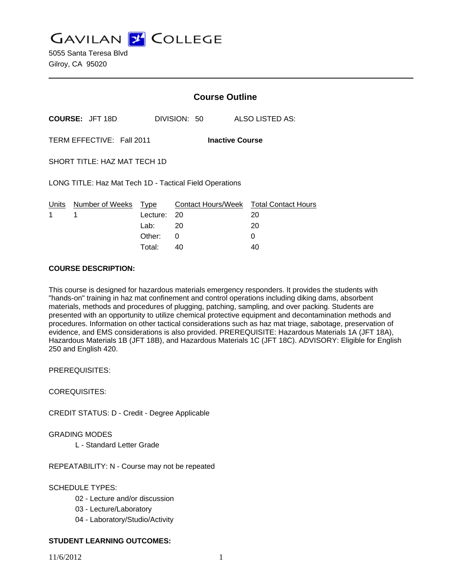**GAVILAN Z COLLEGE** 

5055 Santa Teresa Blvd Gilroy, CA 95020

|                                                     |                                                         | <b>Course Outline</b> |                           |                            |
|-----------------------------------------------------|---------------------------------------------------------|-----------------------|---------------------------|----------------------------|
| <b>COURSE: JFT 18D</b>                              |                                                         |                       | DIVISION: 50              | ALSO LISTED AS:            |
| TERM EFFECTIVE: Fall 2011<br><b>Inactive Course</b> |                                                         |                       |                           |                            |
| SHORT TITLE: HAZ MAT TECH 1D                        |                                                         |                       |                           |                            |
|                                                     | LONG TITLE: Haz Mat Tech 1D - Tactical Field Operations |                       |                           |                            |
| Units                                               | Number of Weeks                                         | Type                  | <b>Contact Hours/Week</b> | <b>Total Contact Hours</b> |
| 1                                                   | 1                                                       | Lecture:              | 20                        | 20                         |
|                                                     |                                                         | Lab: Lab              | - 20                      | 20                         |
|                                                     |                                                         | Other:                | 0                         | 0                          |
|                                                     |                                                         | Total:                | 40                        | 40                         |

#### **COURSE DESCRIPTION:**

This course is designed for hazardous materials emergency responders. It provides the students with "hands-on" training in haz mat confinement and control operations including diking dams, absorbent materials, methods and procedures of plugging, patching, sampling, and over packing. Students are presented with an opportunity to utilize chemical protective equipment and decontamination methods and procedures. Information on other tactical considerations such as haz mat triage, sabotage, preservation of evidence, and EMS considerations is also provided. PREREQUISITE: Hazardous Materials 1A (JFT 18A), Hazardous Materials 1B (JFT 18B), and Hazardous Materials 1C (JFT 18C). ADVISORY: Eligible for English 250 and English 420.

PREREQUISITES:

COREQUISITES:

CREDIT STATUS: D - Credit - Degree Applicable

GRADING MODES

L - Standard Letter Grade

REPEATABILITY: N - Course may not be repeated

SCHEDULE TYPES:

- 02 Lecture and/or discussion
- 03 Lecture/Laboratory
- 04 Laboratory/Studio/Activity

## **STUDENT LEARNING OUTCOMES:**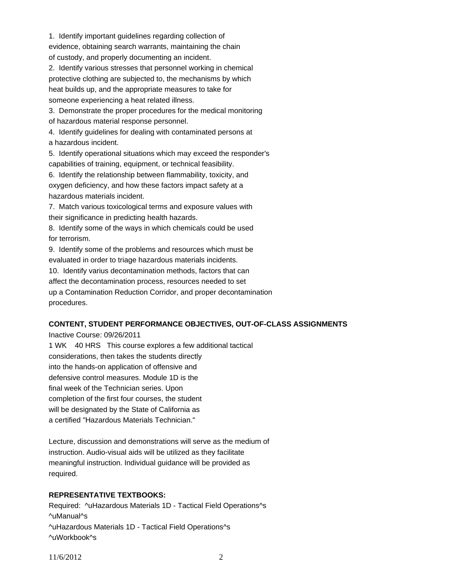1. Identify important guidelines regarding collection of evidence, obtaining search warrants, maintaining the chain of custody, and properly documenting an incident.

2. Identify various stresses that personnel working in chemical protective clothing are subjected to, the mechanisms by which heat builds up, and the appropriate measures to take for someone experiencing a heat related illness.

3. Demonstrate the proper procedures for the medical monitoring of hazardous material response personnel.

4. Identify guidelines for dealing with contaminated persons at a hazardous incident.

5. Identify operational situations which may exceed the responder's capabilities of training, equipment, or technical feasibility.

6. Identify the relationship between flammability, toxicity, and oxygen deficiency, and how these factors impact safety at a hazardous materials incident.

7. Match various toxicological terms and exposure values with their significance in predicting health hazards.

8. Identify some of the ways in which chemicals could be used for terrorism.

9. Identify some of the problems and resources which must be evaluated in order to triage hazardous materials incidents.

10. Identify varius decontamination methods, factors that can affect the decontamination process, resources needed to set up a Contamination Reduction Corridor, and proper decontamination procedures.

# **CONTENT, STUDENT PERFORMANCE OBJECTIVES, OUT-OF-CLASS ASSIGNMENTS**

Inactive Course: 09/26/2011

1 WK 40 HRS This course explores a few additional tactical considerations, then takes the students directly into the hands-on application of offensive and defensive control measures. Module 1D is the final week of the Technician series. Upon completion of the first four courses, the student will be designated by the State of California as a certified "Hazardous Materials Technician."

Lecture, discussion and demonstrations will serve as the medium of instruction. Audio-visual aids will be utilized as they facilitate meaningful instruction. Individual guidance will be provided as required.

# **REPRESENTATIVE TEXTBOOKS:**

Required: ^uHazardous Materials 1D - Tactical Field Operations^s ^uManual^s ^uHazardous Materials 1D - Tactical Field Operations^s ^uWorkbook^s